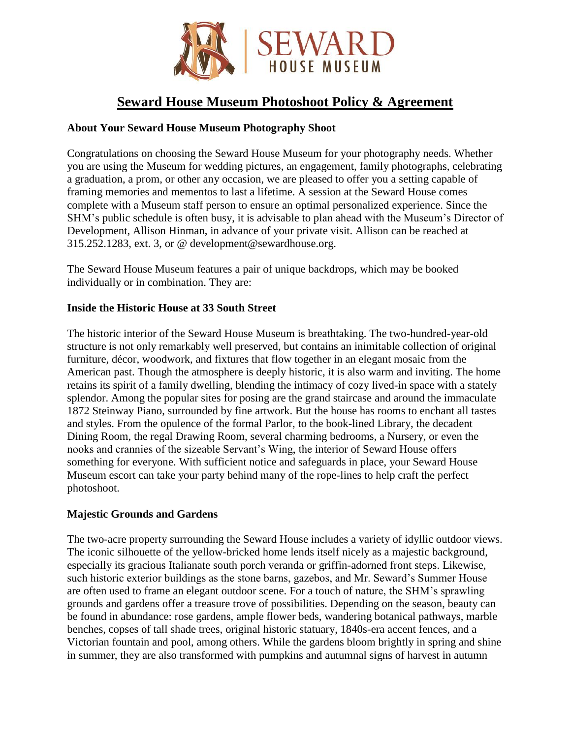

# **Seward House Museum Photoshoot Policy & Agreement**

# **About Your Seward House Museum Photography Shoot**

Congratulations on choosing the Seward House Museum for your photography needs. Whether you are using the Museum for wedding pictures, an engagement, family photographs, celebrating a graduation, a prom, or other any occasion, we are pleased to offer you a setting capable of framing memories and mementos to last a lifetime. A session at the Seward House comes complete with a Museum staff person to ensure an optimal personalized experience. Since the SHM's public schedule is often busy, it is advisable to plan ahead with the Museum's Director of Development, Allison Hinman, in advance of your private visit. Allison can be reached at 315.252.1283, ext. 3, or @ development@sewardhouse.org.

The Seward House Museum features a pair of unique backdrops, which may be booked individually or in combination. They are:

## **Inside the Historic House at 33 South Street**

The historic interior of the Seward House Museum is breathtaking. The two-hundred-year-old structure is not only remarkably well preserved, but contains an inimitable collection of original furniture, décor, woodwork, and fixtures that flow together in an elegant mosaic from the American past. Though the atmosphere is deeply historic, it is also warm and inviting. The home retains its spirit of a family dwelling, blending the intimacy of cozy lived-in space with a stately splendor. Among the popular sites for posing are the grand staircase and around the immaculate 1872 Steinway Piano, surrounded by fine artwork. But the house has rooms to enchant all tastes and styles. From the opulence of the formal Parlor, to the book-lined Library, the decadent Dining Room, the regal Drawing Room, several charming bedrooms, a Nursery, or even the nooks and crannies of the sizeable Servant's Wing, the interior of Seward House offers something for everyone. With sufficient notice and safeguards in place, your Seward House Museum escort can take your party behind many of the rope-lines to help craft the perfect photoshoot.

## **Majestic Grounds and Gardens**

The two-acre property surrounding the Seward House includes a variety of idyllic outdoor views. The iconic silhouette of the yellow-bricked home lends itself nicely as a majestic background, especially its gracious Italianate south porch veranda or griffin-adorned front steps. Likewise, such historic exterior buildings as the stone barns, gazebos, and Mr. Seward's Summer House are often used to frame an elegant outdoor scene. For a touch of nature, the SHM's sprawling grounds and gardens offer a treasure trove of possibilities. Depending on the season, beauty can be found in abundance: rose gardens, ample flower beds, wandering botanical pathways, marble benches, copses of tall shade trees, original historic statuary, 1840s-era accent fences, and a Victorian fountain and pool, among others. While the gardens bloom brightly in spring and shine in summer, they are also transformed with pumpkins and autumnal signs of harvest in autumn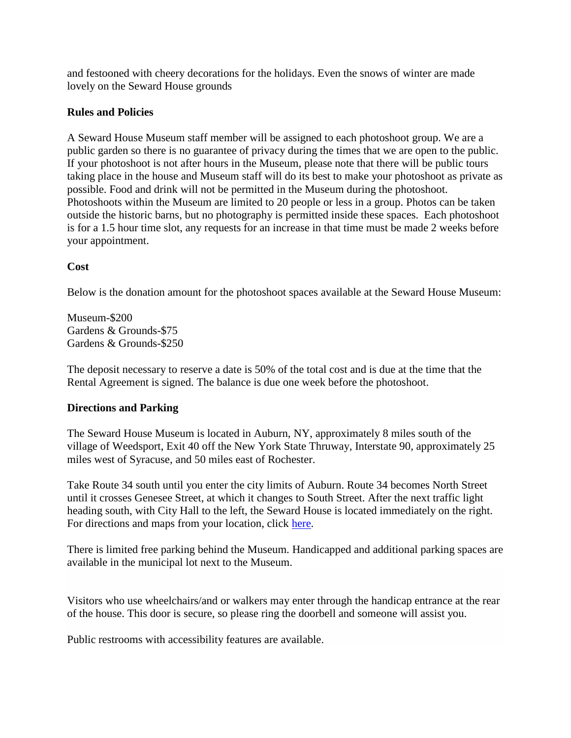and festooned with cheery decorations for the holidays. Even the snows of winter are made lovely on the Seward House grounds

#### **Rules and Policies**

A Seward House Museum staff member will be assigned to each photoshoot group. We are a public garden so there is no guarantee of privacy during the times that we are open to the public. If your photoshoot is not after hours in the Museum, please note that there will be public tours taking place in the house and Museum staff will do its best to make your photoshoot as private as possible. Food and drink will not be permitted in the Museum during the photoshoot. Photoshoots within the Museum are limited to 20 people or less in a group. Photos can be taken outside the historic barns, but no photography is permitted inside these spaces. Each photoshoot is for a 1.5 hour time slot, any requests for an increase in that time must be made 2 weeks before your appointment.

#### **Cost**

Below is the donation amount for the photoshoot spaces available at the Seward House Museum:

Museum-\$200 Gardens & Grounds-\$75 Gardens & Grounds-\$250

The deposit necessary to reserve a date is 50% of the total cost and is due at the time that the Rental Agreement is signed. The balance is due one week before the photoshoot.

#### **Directions and Parking**

The Seward House Museum is located in Auburn, NY, approximately 8 miles south of the village of Weedsport, Exit 40 off the New York State Thruway, Interstate 90, approximately 25 miles west of Syracuse, and 50 miles east of Rochester.

Take Route 34 south until you enter the city limits of Auburn. Route 34 becomes North Street until it crosses Genesee Street, at which it changes to South Street. After the next traffic light heading south, with City Hall to the left, the Seward House is located immediately on the right. For directions and maps from your location, click [here.](https://www.google.com/maps/dir/42.9295445,-76.5665402/@42.930763,-76.566074,16z?hl=en)

There is limited free parking behind the Museum. Handicapped and additional parking spaces are available in the municipal lot next to the Museum.

Visitors who use wheelchairs/and or walkers may enter through the handicap entrance at the rear of the house. This door is secure, so please ring the doorbell and someone will assist you.

Public restrooms with accessibility features are available.